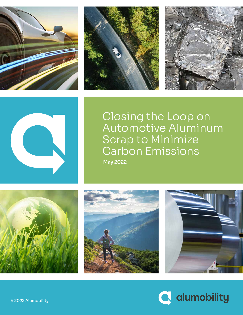







Closing the Loop on Automotive Aluminum Scrap to Minimize Carbon Emissions **May 2022** 







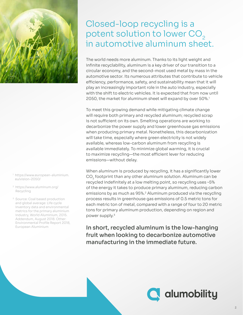

- <sup>1</sup> https://www.european-aluminium. eu/vision-2050/
- 2 https://www.aluminum.org/ Recycling
- <sup>3</sup> Source: Coal based production and global average: Life cycle inventory data and environmental metrics for the primary aluminium industry, World Aluminium, 2015. Addendum, August 2018. Other: Environmental Profile Report 2018, European Aluminium

## Closed-loop recycling is a potent solution to lower CO<sub>2</sub> in automotive aluminum sheet.

The world needs more aluminum. Thanks to its light weight and infinite recyclability, aluminum is a key driver of our transition to a circular economy, and the second-most used metal by mass in the automotive sector. Its numerous attributes that contribute to vehicle efficiency, performance, safety, and sustainability mean that it will play an increasingly important role in the auto industry, especially with the shift to electric vehicles. It is expected that from now until 2050, the market for aluminum sheet will expand by over 50%.<sup>1</sup>

To meet this growing demand while mitigating climate change will require both primary and recycled aluminum; recycled scrap is not sufficient on its own. Smelting operations are working to decarbonize the power supply and lower greenhouse gas emissions when producing primary metal. Nonetheless, this decarbonization will take time, especially where green electricity is not widely available, whereas low-carbon aluminum from recycling is available immediately. To minimize global warming, it is crucial to maximize recycling—the most efficient lever for reducing emissions—without delay.

When aluminum is produced by recycling, it has a significantly lower CO<sub>2</sub> footprint than any other aluminum solution. Aluminum can be recycled indefinitely at a low melting point, so recycling uses ~5% of the energy it takes to produce primary aluminum, reducing carbon emissions by as much as 95%.2 Aluminum produced via the recycling process results in greenhouse gas emissions of 0.5 metric tons for each metric ton of metal, compared with a range of four to 20 metric tons for primary aluminum production, depending on region and power supply.3

In short, recycled aluminum is the low-hanging fruit when looking to decarbonize automotive manufacturing in the immediate future.

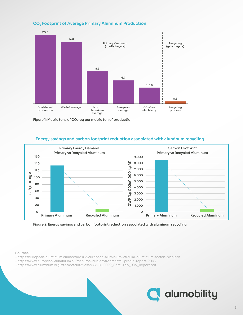

#### **CO2 Footprint of Average Primary Aluminum Production**

Figure 1: Metric tons of  $CO<sub>2</sub>$ -eq per metric ton of production

#### **Energy savings and carbon footprint reduction associated with aluminum recycling**



Figure 2: Energy savings and carbon footprint reduction associated with aluminum recycling

#### **Sources:**

- https://european-aluminium.eu/media/2903/european-aluminium-circular-aluminium-action-plan.pdf
- https://www.european-aluminium.eu/resource-hub/environmental-profile-report-2018/
- https://www.aluminum.org/sites/default/files/2022-01/2022\_Semi-Fab\_LCA\_Report.pdf

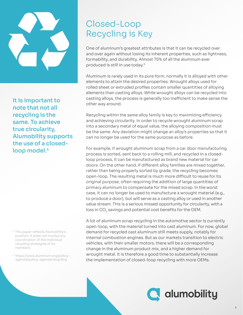

It is important to note that not all recycling is the same. To achieve true circularity, Alumobility supports the use of a closedloop model.<sup>4</sup>

- 4 This paper reflects Alumobility's position. It does not involve any coordination of the individual recycling strategies of its members.
- 5 https://www.aluminum.org/policyagenda/policy-agenda/recycling

# Closed-Loop Recycling is Key

One of aluminum's greatest attributes is that it can be recycled over and over again without losing its inherent properties, such as lightness, formability, and durability. Almost 75% of all the aluminum ever produced is still in use today.5

Aluminum is rarely used in its pure form; normally it is alloyed with other elements to attain the desired properties. Wrought alloys used for rolled sheet or extruded profiles contain smaller quantities of alloying elements than casting alloys. While wrought alloys can be recycled into casting alloys, the process is generally too inefficient to make sense the other way around.

Recycling within the same alloy family is key to maximizing efficiency and achieving circularity. In order to recycle wrought aluminum scrap into a secondary metal of equal value, the alloying composition must be the same. Any deviation might change an alloy's properties so that it can no longer be used for the same purpose as before.

For example, if wrought aluminum scrap from a car door manufacturing process is sorted, sent back to a rolling mill, and recycled in a closedloop process, it can be manufactured as brand new material for car doors. On the other hand, if different alloy families are mixed together, rather than being properly sorted by grade, the recycling becomes open-loop. The resulting metal is much more difficult to reuse for its original purpose, often requiring the addition of large quantities of primary aluminum to compensate for the mixed scrap. In the worst case, it can no longer be used to manufacture a wrought material (e.g., to produce a door), but will serve as a casting alloy or used in another value stream. This is a serious missed opportunity for circularity, with a loss in  $CO<sub>2</sub>$  savings and potential cost benefits for the OEM.

A lot of aluminum scrap recycling in the automotive sector is currently open-loop, with the material turned into cast aluminum. For now, global demand for recycled cast aluminum still meets supply, notably for internal combustion engines. But as our markets transition to electric vehicles, with their smaller motors, there will be a corresponding change in the aluminum product mix, and a higher demand for wrought metal. It is therefore a good time to substantially increase the implementation of closed-loop recycling with more OEMs.

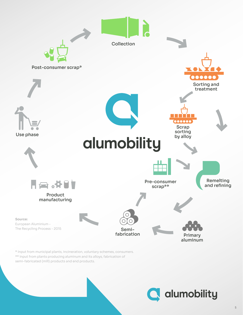

\* Input from municipal plants, incineration, voluntary schemes, consumers. \*\* Input from plants producing aluminum and its alloys, fabrication of semi-fabricated (mill) products and end products.

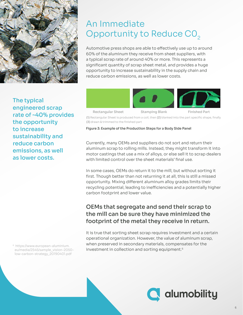

The typical engineered scrap rate of ~40% provides the opportunity to increase sustainability and reduce carbon emissions, as well as lower costs.

6 https://www.european-aluminium. eu/media/2545/sample\_vision-2050 low-carbon-strategy\_20190401.pdf

## An Immediate Opportunity to Reduce CO<sub>2</sub>

Automotive press shops are able to effectively use up to around 60% of the aluminum they receive from sheet suppliers, with a typical scrap rate of around 40% or more. This represents a significant quantity of scrap sheet metal, and provides a huge opportunity to increase sustainability in the supply chain and reduce carbon emissions, as well as lower costs.



(1) Rectangular Sheet is produced from a coil, then (2) blanked into the part specific shape, finally (3) drawn & trimmed to the finished part

Figure 3: Example of the Production Steps for a Body Side Panel

Currently, many OEMs and suppliers do not sort and return their aluminum scrap to rolling mills. Instead, they might transform it into motor castings that use a mix of alloys, or else sell it to scrap dealers with limited control over the sheet materials' final use.

In some cases, OEMs do return it to the mill, but without sorting it first. Though better than not returning it at all, this is still a missed opportunity. Mixing different aluminum alloy grades limits their recycling potential, leading to inefficiencies and a potentially higher carbon footprint and lower value.

### OEMs that segregate and send their scrap to the mill can be sure they have minimized the footprint of the metal they receive in return.

It is true that sorting sheet scrap requires investment and a certain operational organization. However, the value of aluminum scrap, when preserved in secondary materials, compensates for the investment in collection and sorting equipment.<sup>6</sup>

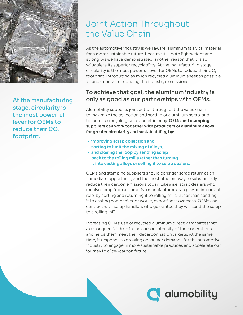

At the manufacturing stage, circularity is the most powerful lever for OEMs to reduce their CO<sub>2</sub> footprint.

# Joint Action Throughout the Value Chain

As the automotive industry is well aware, aluminum is a vital material for a more sustainable future, because it is both lightweight and strong. As we have demonstrated, another reason that it is so valuable is its superior recyclability. At the manufacturing stage, circularity is the most powerful lever for OEMs to reduce their CO<sub>2</sub> footprint. Introducing as much recycled aluminum sheet as possible is fundamental to reducing the industry's emissions.

### To achieve that goal, the aluminum industry is only as good as our partnerships with OEMs.

Alumobility supports joint action throughout the value chain to maximize the collection and sorting of aluminum scrap, and to increase recycling rates and efficiency. **OEMs and stamping suppliers can work together with producers of aluminum alloys for greater circularity and sustainability, by:**

- **improving scrap collection and sorting to limit the mixing of alloys,**
- **and closing the loop by sending scrap back to the rolling mills rather than turning it into casting alloys or selling it to scrap dealers.**

OEMs and stamping suppliers should consider scrap return as an immediate opportunity and the most efficient way to substantially reduce their carbon emissions today. Likewise, scrap dealers who receive scrap from automotive manufacturers can play an important role, by sorting and returning it to rolling mills rather than sending it to casting companies, or worse, exporting it overseas. OEMs can contract with scrap handlers who guarantee they will send the scrap to a rolling mill.

Increasing OEMs' use of recycled aluminum directly translates into a consequential drop in the carbon intensity of their operations and helps them meet their decarbonization targets. At the same time, it responds to growing consumer demands for the automotive industry to engage in more sustainable practices and accelerate our journey to a low-carbon future.

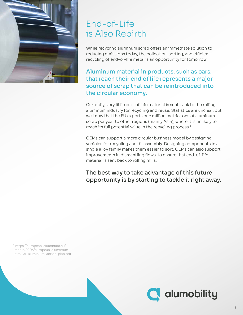

# End-of-Life is Also Rebirth

While recycling aluminum scrap offers an immediate solution to reducing emissions today, the collection, sorting, and efficient recycling of end-of-life metal is an opportunity for tomorrow.

Aluminum material in products, such as cars, that reach their end of life represents a major source of scrap that can be reintroduced into the circular economy.

Currently, very little end-of-life material is sent back to the rolling aluminum industry for recycling and reuse. Statistics are unclear, but we know that the EU exports one million metric tons of aluminum scrap per year to other regions (mainly Asia), where it is unlikely to reach its full potential value in the recycling process.7

OEMs can support a more circular business model by designing vehicles for recycling and disassembly. Designing components in a single alloy family makes them easier to sort. OEMs can also support improvements in dismantling flows, to ensure that end-of-life material is sent back to rolling mills.

#### The best way to take advantage of this future opportunity is by starting to tackle it right away.

<sup>7</sup> https://european-aluminium.eu/ media/2903/european-aluminiumcircular-aluminium-action-plan.pdf